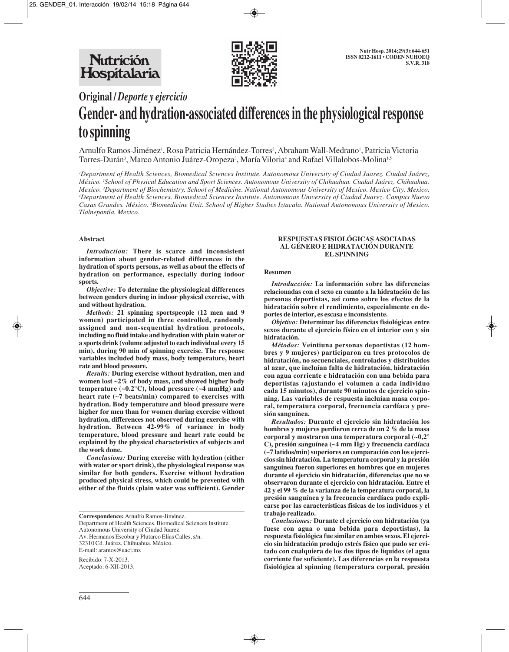

# **Original /** *Deporte y ejercicio* **Gender- and hydration-associated differences in the physiological response to spinning**

Arnulfo Ramos-Jiménez<sup>1</sup>, Rosa Patricia Hernández-Torres<sup>2</sup>, Abraham Wall-Medrano<sup>1</sup>, Patricia Victoria Torres-Durán<sup>3</sup>, Marco Antonio Juárez-Oropeza<sup>3</sup>, María Viloria<sup>4</sup> and Rafael Villalobos-Molina<sup>1,5</sup>

*1 Department of Health Sciences, Biomedical Sciences Institute. Autonomous University of Ciudad Juarez. Ciudad Juárez, México. 2 School of Physical Education and Sport Sciences. Autonomous University of Chihuahua. Ciudad Juárez. Chihuahua. Mexico. 3 Department of Biochemistry. School of Medicine. National Autonomous University of Mexico. Mexico City. Mexico. 4 Department of Health Sciences. Biomedical Sciences Institute. Autonomous University of Ciudad Juarez. Campus Nuevo Casas Grandes. México. 5 Biomedicine Unit. School of Higher Studies Iztacala. National Autonomous University of Mexico. Tlalnepantla. Mexico.*

## **Abstract**

*Introduction:* **There is scarce and inconsistent information about gender-related differences in the hydration of sports persons, as well as about the effects of hydration on performance, especially during indoor sports.**

*Objective:* **To determine the physiological differences between genders during in indoor physical exercise, with and without hydration.**

*Methods:* **21 spinning sportspeople (12 men and 9 women) participated in three controlled, randomly assigned and non-sequential hydration protocols, including no fluid intake and hydration with plain water or a sports drink (volume adjusted to each individual every 15 min), during 90 min of spinning exercise. The response variables included body mass, body temperature, heart rate and blood pressure.**

*Results:* **During exercise without hydration, men and women lost ~2% of body mass, and showed higher body temperature (~0.2°C), blood pressure (~4 mmHg) and heart rate (~7 beats/min) compared to exercises with hydration. Body temperature and blood pressure were higher for men than for women during exercise without hydration, differences not observed during exercise with hydration. Between 42-99% of variance in body temperature, blood pressure and heart rate could be explained by the physical characteristics of subjects and the work done.**

*Conclusions:* **During exercise with hydration (either with water or sport drink), the physiological response was similar for both genders. Exercise without hydration produced physical stress, which could be prevented with either of the fluids (plain water was sufficient). Gender**

**Correspondence:** Arnulfo Ramos-Jiménez. Department of Health Sciences. Biomedical Sciences Institute. Autonomous University of Ciudad Juarez. Av. Hermanos Escobar y Plutarco Elías Calles, s/n. 32310 Cd. Juárez. Chihuahua. México. E-mail: aramos@uacj.mx

Recibido: 7-X-2013. Aceptado: 6-XII-2013.

#### **RESPUESTAS FISIOLÓGICAS ASOCIADAS AL GÉNERO E HIDRATACIÓN DURANTE EL SPINNING**

## **Resumen**

*Introducción:* **La información sobre las diferencias relacionadas con el sexo en cuanto a la hidratación de las personas deportistas, así como sobre los efectos de la hidratación sobre el rendimiento, especialmente en deportes de interior, es escasa e inconsistente.**

*Objetivo:* **Determinar las diferencias fisiológicas entre sexos durante el ejercicio físico en el interior con y sin hidratación.**

*Métodos:* **Veintiuna personas deportistas (12 hombres y 9 mujeres) participaron en tres protocolos de hidra tación, no secuenciales, controlados y distribuidos al azar, que incluían falta de hidratación, hidratación con agua corriente e hidratación con una bebida para deportistas (ajustando el volumen a cada individuo cada 15 minutos), durante 90 minutos de ejercicio spinning. Las variables de respuesta incluían masa corporal, temperatura corporal, frecuencia cardíaca y presión sanguínea.**

*Resultados:* **Durante el ejercicio sin hidratación los hombres y mujeres perdieron cerca de un 2 % de la masa corporal y mostraron una temperatura corporal (~0,2° C), presión sanguínea (~4 mm Hg) y frecuencia cardíaca (~7 latidos/min) superiores en comparación con los ejercicios sin hidratación. La temperatura corporal y la presión sanguínea fueron superiores en hombres que en mujeres durante el ejercicio sin hidratación, diferencias que no se observaron durante el ejercicio con hidratación. Entre el 42 y el 99 % de la varianza de la temperatura corporal, la presión sanguínea y la frecuencia cardíaca pudo explicarse por las características físicas de los individuos y el trabajo realizado.**

*Conclusiones:* **Durante el ejercicio con hidratación (ya fuese con agua o una bebida para deportistas), la respuesta fisiológica fue similar en ambos sexos. El ejercicio sin hidratación produjo estrés físico que pudo ser evitado con cualquiera de los dos tipos de líquidos (el agua corriente fue suficiente). Las diferencias en la respuesta fisiológica al spinning (temperatura corporal, presión**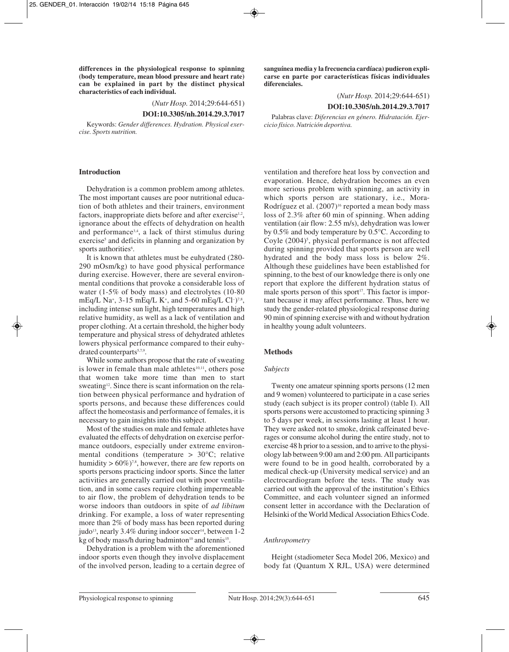**differences in the physiological response to spinning (body temperature, mean blood pressure and heart rate) can be explained in part by the distinct physical characteristics of each individual.**

(*Nutr Hosp.* 2014;29:644-651)

**DOI:10.3305/nh.2014.29.3.7017**

Keywords: *Gender differences. Hydration. Physical exercise. Sports nutrition.*

#### **Introduction**

Dehydration is a common problem among athletes. The most important causes are poor nutritional education of both athletes and their trainers, environment factors, inappropriate diets before and after exercise<sup>1,2</sup>, ignorance about the effects of dehydration on health and performance3,4, a lack of thirst stimulus during exercise<sup>5</sup> and deficits in planning and organization by sports authorities<sup>6</sup>.

It is known that athletes must be euhydrated (280- 290 mOsm/kg) to have good physical performance during exercise. However, there are several environmental conditions that provoke a considerable loss of water (1-5% of body mass) and electrolytes (10-80 mEq/L Na<sup>+</sup>, 3-15 mEq/L K<sup>+</sup>, and 5-60 mEq/L Cl<sup>-</sup>)<sup>7,8</sup>, including intense sun light, high temperatures and high relative humidity, as well as a lack of ventilation and proper clothing. At a certain threshold, the higher body temperature and physical stress of dehydrated athletes lowers physical performance compared to their euhydrated counterparts<sup>5,7,9</sup>.

While some authors propose that the rate of sweating is lower in female than male athletes $10,11$ , others pose that women take more time than men to start sweating<sup>12</sup>. Since there is scant information on the relation between physical performance and hydration of sports persons, and because these differences could affect the homeostasis and performance of females, it is necessary to gain insights into this subject.

Most of the studies on male and female athletes have evaluated the effects of dehydration on exercise performance outdoors, especially under extreme environmental conditions (temperature > 30°C; relative humidity >  $60\%$ )<sup>7,8</sup>, however, there are few reports on sports persons practicing indoor sports. Since the latter activities are generally carried out with poor ventilation, and in some cases require clothing impermeable to air flow, the problem of dehydration tends to be worse indoors than outdoors in spite of *ad libitum* drinking. For example, a loss of water representing more than 2% of body mass has been reported during judo<sup>13</sup>, nearly 3.4% during indoor soccer<sup>14</sup>, between 1-2 kg of body mass/h during badminton<sup>10</sup> and tennis<sup>15</sup>.

Dehydration is a problem with the aforementioned indoor sports even though they involve displacement of the involved person, leading to a certain degree of **sanguínea media y la frecuencia cardíaca) pudieron explicarse en parte por características físicas individuales diferenciales.**

(*Nutr Hosp.* 2014;29:644-651)

## **DOI:10.3305/nh.2014.29.3.7017**

Palabras clave: *Diferencias en género. Hidratación. Ejercicio físico. Nutrición deportiva.*

ventilation and therefore heat loss by convection and evaporation. Hence, dehydration becomes an even more serious problem with spinning, an activity in which sports person are stationary, i.e., Mora-Rodríguez et al. (2007)<sup>16</sup> reported a mean body mass loss of 2.3% after 60 min of spinning. When adding ventilation (air flow: 2.55 m/s), dehydration was lower by 0.5% and body temperature by 0.5°C. According to Coyle (2004)<sup>5</sup>, physical performance is not affected during spinning provided that sports person are well hydrated and the body mass loss is below 2%. Although these guidelines have been established for spinning, to the best of our knowledge there is only one report that explore the different hydration status of male sports person of this sport<sup>17</sup>. This factor is important because it may affect performance. Thus, here we study the gender-related physiological response during 90 min of spinning exercise with and without hydration in healthy young adult volunteers.

## **Methods**

## *Subjects*

Twenty one amateur spinning sports persons (12 men and 9 women) volunteered to participate in a case series study (each subject is its proper control) (table I). All sports persons were accustomed to practicing spinning 3 to 5 days per week, in sessions lasting at least 1 hour. They were asked not to smoke, drink caffeinated beverages or consume alcohol during the entire study, not to exercise 48 h prior to a session, and to arrive to the physiology lab between 9:00 am and 2:00 pm. All participants were found to be in good health, corroborated by a medical check-up (University medical service) and an electrocardiogram before the tests. The study was carried out with the approval of the institution's Ethics Committee, and each volunteer signed an informed consent letter in accordance with the Declaration of Helsinki of the World Medical Association Ethics Code.

## *Anthropometry*

Height (stadiometer Seca Model 206, Mexico) and body fat (Quantum X RJL, USA) were determined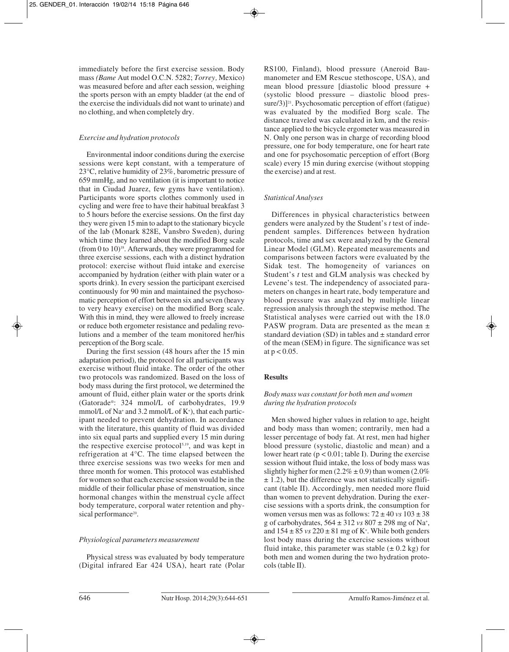immediately before the first exercise session. Body mass *(Bame* Aut model O.C.N. 5282; *Torrey,* Mexico) was measured before and after each session, weighing the sports person with an empty bladder (at the end of the exercise the individuals did not want to urinate) and no clothing, and when completely dry.

# *Exercise and hydration protocols*

Environmental indoor conditions during the exercise sessions were kept constant, with a temperature of 23°C, relative humidity of 23%, barometric pressure of 659 mmHg, and no ventilation (it is important to notice that in Ciudad Juarez, few gyms have ventilation). Participants wore sports clothes commonly used in cycling and were free to have their habitual breakfast 3 to 5 hours before the exercise sessions. On the first day they were given 15 min to adapt to the stationary bicycle of the lab (Monark 828E, Vansbro Sweden), during which time they learned about the modified Borg scale (from 0 to  $10$ )<sup>18</sup>. Afterwards, they were programmed for three exercise sessions, each with a distinct hydration protocol: exercise without fluid intake and exercise accompanied by hydration (either with plain water or a sports drink). In every session the participant exercised continuously for 90 min and maintained the psychosomatic perception of effort between six and seven (heavy to very heavy exercise) on the modified Borg scale. With this in mind, they were allowed to freely increase or reduce both ergometer resistance and pedaling revolutions and a member of the team monitored her/his perception of the Borg scale.

During the first session (48 hours after the 15 min adaptation period), the protocol for all participants was exercise without fluid intake. The order of the other two protocols was randomized. Based on the loss of body mass during the first protocol, we determined the amount of fluid, either plain water or the sports drink (Gatorade®: 324 mmol/L of carbohydrates, 19.9 mmol/L of Na+ and 3.2 mmol/L of K+ ), that each participant needed to prevent dehydration. In accordance with the literature, this quantity of fluid was divided into six equal parts and supplied every 15 min during the respective exercise protocol<sup>5,19</sup>, and was kept in refrigeration at  $4^{\circ}$ C. The time elapsed between the three exercise sessions was two weeks for men and three month for women. This protocol was established for women so that each exercise session would be in the middle of their follicular phase of menstruation, since hormonal changes within the menstrual cycle affect body temperature, corporal water retention and physical performance<sup>20</sup>.

## *Physiological parameters measurement*

Physical stress was evaluated by body temperature (Digital infrared Ear 424 USA), heart rate (Polar RS100, Finland), blood pressure (Aneroid Baumanometer and EM Rescue stethoscope, USA), and mean blood pressure [diastolic blood pressure + (systolic blood pressure – diastolic blood pressure $(3)$ ]<sup>21</sup>. Psychosomatic perception of effort (fatigue) was evaluated by the modified Borg scale. The distance traveled was calculated in km, and the resistance applied to the bicycle ergometer was measured in N. Only one person was in charge of recording blood pressure, one for body temperature, one for heart rate and one for psychosomatic perception of effort (Borg scale) every 15 min during exercise (without stopping the exercise) and at rest.

# *Statistical Analyses*

Differences in physical characteristics between genders were analyzed by the Student's *t* test of independent samples. Differences between hydration protocols, time and sex were analyzed by the General Linear Model (GLM). Repeated measurements and comparisons between factors were evaluated by the Sidak test. The homogeneity of variances on Student's *t* test and GLM analysis was checked by Levene's test. The independency of associated parameters on changes in heart rate, body temperature and blood pressure was analyzed by multiple linear regression analysis through the stepwise method. The Statistical analyses were carried out with the 18.0 PASW program. Data are presented as the mean  $\pm$ standard deviation (SD) in tables and  $\pm$  standard error of the mean (SEM) in figure. The significance was set at  $p < 0.05$ .

## **Results**

# *Body mass was constant for both men and women during the hydration protocols*

Men showed higher values in relation to age, height and body mass than women; contrarily, men had a lesser percentage of body fat. At rest, men had higher blood pressure (systolic, diastolic and mean) and a lower heart rate ( $p < 0.01$ ; table I). During the exercise session without fluid intake, the loss of body mass was slightly higher for men  $(2.2\% \pm 0.9)$  than women  $(2.0\%$  $\pm$  1.2), but the difference was not statistically significant (table II). Accordingly, men needed more fluid than women to prevent dehydration. During the exercise sessions with a sports drink, the consumption for women versus men was as follows:  $72 \pm 40$  *vs*  $103 \pm 38$ g of carbohydrates, 564 ± 312 *vs* 807 ± 298 mg of Na+ , and  $154 \pm 85$  *vs*  $220 \pm 81$  mg of K<sup>+</sup>. While both genders lost body mass during the exercise sessions without fluid intake, this parameter was stable  $(\pm 0.2 \text{ kg})$  for both men and women during the two hydration protocols (table II).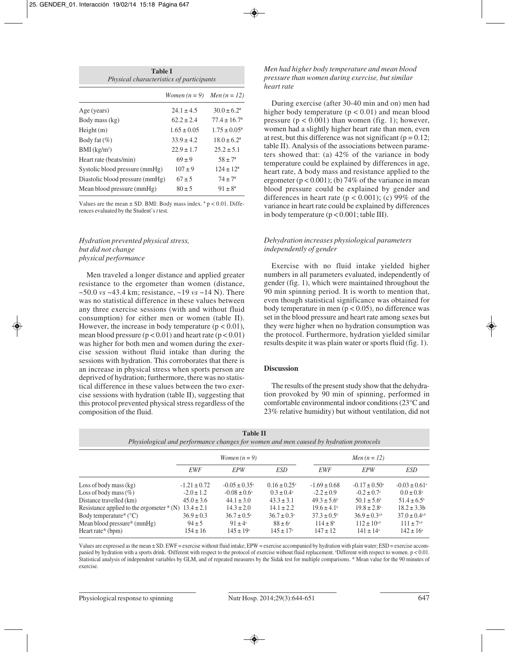| <b>Table I</b><br>Physical characteristics of participants |                 |                         |  |  |  |  |
|------------------------------------------------------------|-----------------|-------------------------|--|--|--|--|
|                                                            | Women $(n=9)$   | <i>Men</i> $(n = 12)$   |  |  |  |  |
| Age (years)                                                | $24.1 \pm 4.5$  | $30.0 \pm 6.2^{\circ}$  |  |  |  |  |
| Body mass (kg)                                             | $62.2 \pm 2.4$  | $77.4 \pm 16.7^{\circ}$ |  |  |  |  |
| Height(m)                                                  | $1.65 \pm 0.05$ | $1.75 \pm 0.05^{\circ}$ |  |  |  |  |
| Body fat $(\%)$                                            | $33.9 \pm 4.2$  | $18.0 \pm 6.2^{\circ}$  |  |  |  |  |
| $BMI$ (kg/m <sup>2</sup> )                                 | $22.9 \pm 1.7$  | $25.2 \pm 5.1$          |  |  |  |  |
| Heart rate (beats/min)                                     | $69 \pm 9$      | $58 \pm 7^{\circ}$      |  |  |  |  |
| Systolic blood pressure (mmHg)                             | $107 \pm 9$     | $124 \pm 12^a$          |  |  |  |  |
| Diastolic blood pressure (mmHg)                            | $67 \pm 5$      | $74 \pm 7^{\circ}$      |  |  |  |  |
| Mean blood pressure (mmHg)                                 | $80 \pm 5$      | $91 \pm 8^a$            |  |  |  |  |

Values are the mean  $\pm$  SD. BMI: Body mass index.  $a$   $p$  < 0.01. Differences evaluated by the Student's *t* test.

# *Hydration prevented physical stress, but did not change physical performance*

Men traveled a longer distance and applied greater resistance to the ergometer than women (distance, ~50.0 *vs* ~43.4 km; resistance, ~19 *vs* ~14 N). There was no statistical difference in these values between any three exercise sessions (with and without fluid consumption) for either men or women (table II). However, the increase in body temperature ( $p < 0.01$ ), mean blood pressure  $(p < 0.01)$  and heart rate  $(p < 0.01)$ was higher for both men and women during the exercise session without fluid intake than during the sessions with hydration. This corroborates that there is an increase in physical stress when sports person are deprived of hydration; furthermore, there was no statistical difference in these values between the two exercise sessions with hydration (table II), suggesting that this protocol prevented physical stress regardless of the composition of the fluid.

## *Men had higher body temperature and mean blood pressure than women during exercise, but similar heart rate*

During exercise (after 30-40 min and on) men had higher body temperature  $(p < 0.01)$  and mean blood pressure  $(p < 0.001)$  than women (fig. 1); however, women had a slightly higher heart rate than men, even at rest, but this difference was not significant ( $p = 0.12$ ; table II). Analysis of the associations between parameters showed that: (a) 42% of the variance in body temperature could be explained by differences in age, heart rate,  $\Delta$  body mass and resistance applied to the ergometer ( $p < 0.001$ ); (b) 74% of the variance in mean blood pressure could be explained by gender and differences in heart rate ( $p < 0.001$ ); (c) 99% of the variance in heart rate could be explained by differences in body temperature  $(p < 0.001$ ; table III).

# *Dehydration increases physiological parameters independently of gender*

Exercise with no fluid intake yielded higher numbers in all parameters evaluated, independently of gender (fig. 1), which were maintained throughout the 90 min spinning period. It is worth to mention that, even though statistical significance was obtained for body temperature in men  $(p < 0.05)$ , no difference was set in the blood pressure and heart rate among sexes but they were higher when no hydration consumption was the protocol. Furthermore, hydration yielded similar results despite it was plain water or sports fluid (fig. 1).

## **Discussion**

The results of the present study show that the dehydration provoked by 90 min of spinning, performed in comfortable environmental indoor conditions (23°C and 23% relative humidity) but without ventilation, did not

| F hysiological and performance changes for women and men caused by hydration protocols |                  |                          |                         |                        |                             |                               |  |  |
|----------------------------------------------------------------------------------------|------------------|--------------------------|-------------------------|------------------------|-----------------------------|-------------------------------|--|--|
|                                                                                        | Women $(n = 9)$  |                          |                         | Men $(n=12)$           |                             |                               |  |  |
|                                                                                        | EWF              | <b>EPW</b>               | ESD                     | <b>EWF</b>             | EPW                         | <b>ESD</b>                    |  |  |
| Loss of body mass $(kg)$                                                               | $-1.21 \pm 0.72$ | $-0.05 \pm 0.35^{\circ}$ | $0.16 \pm 0.25^{\circ}$ | $-1.69 \pm 0.68$       | $-0.17 \pm 0.50^{\circ}$    | $-0.03 \pm 0.61$ <sup>a</sup> |  |  |
| Loss of body mass $(\%)$                                                               | $-2.0 \pm 1.2$   | $-0.08 \pm 0.6^{\circ}$  | $0.3 \pm 0.4^{\circ}$   | $-2.2 \pm 0.9$         | $-0.2 \pm 0.7$ <sup>a</sup> | $0.0 \pm 0.8^{\circ}$         |  |  |
| Distance travelled (km)                                                                | $45.0 \pm 3.6$   | $44.1 \pm 3.0$           | $43.3 \pm 3.1$          | $49.3 \pm 5.6^{\circ}$ | $50.1 \pm 5.6^{\circ}$      | $51.4 \pm 6.5^{\circ}$        |  |  |
| Resistance applied to the ergometer $*(N)$ 13.4 $\pm$ 2.1                              |                  | $14.3 \pm 2.0$           | $14.1 \pm 2.2$          | $19.6 \pm 4.1^{\circ}$ | $19.8 \pm 2.8$ <sup>b</sup> | $18.2 \pm 3.3b$               |  |  |
| Body temperature* $(^{\circ}C)$                                                        | $36.9 \pm 0.3$   | $36.7 \pm 0.5^{\circ}$   | $36.7 \pm 0.3^{\circ}$  | $37.3 \pm 0.5^{\circ}$ | $36.9 \pm 0.3^{a,b}$        | $37.0 \pm 0.4$ <sup>a,b</sup> |  |  |
| Mean blood pressure $*(mmHg)$                                                          | $94 \pm 5$       | $91 \pm 4^{\circ}$       | $88 \pm 6^{\circ}$      | $114 \pm 8^6$          | $112 \pm 10^{a,b}$          | $111 \pm 7^{a,b}$             |  |  |
| Heart rate* (bpm)                                                                      | $154 \pm 16$     | $145 \pm 19^{\circ}$     | $145 \pm 17^{\circ}$    | $147 \pm 12$           | $141 \pm 14^{\circ}$        | $142 \pm 16^{\circ}$          |  |  |

**Table II** *Physiological and performance changes for women and men caused by hydration protocols*

Values are expressed as the mean ± SD. EWF = exercise without fluid intake; EPW = exercise accompanied by hydration with plain water; ESD = exercise accompanied by hydration with a sports drink. Different with respect to the protocol of exercise without fluid replacement. Different with respect to women. p < 0.01. Statistical analysis of independent variables by GLM, and of repeated measures by the Sidak test for multiple comparisons. \* Mean value for the 90 minutes of exercise.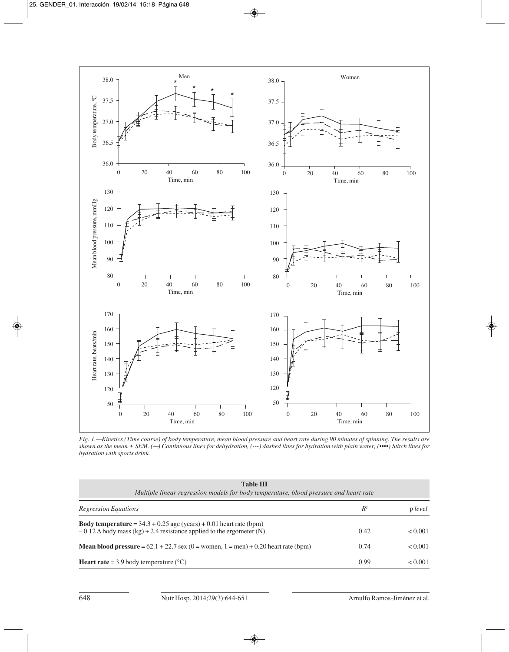

*Fig. 1.—Kinetics (Time course) of body temperature, mean blood pressure and heart rate during 90 minutes of spinning. The results are shown as the mean ± SEM. (––) Continuous lines for dehydration, (---) dashed lines for hydration with plain water, (••••) Stitch lines for hydration with sports drink.* 

| <b>Table III</b><br>Multiple linear regression models for body temperature, blood pressure and heart rate                                                  |       |         |  |  |  |  |
|------------------------------------------------------------------------------------------------------------------------------------------------------------|-------|---------|--|--|--|--|
| Regression Equations                                                                                                                                       | $R^2$ | p level |  |  |  |  |
| <b>Body temperature</b> = $34.3 + 0.25$ age (years) + 0.01 heart rate (bpm)<br>$-0.12 \Delta$ body mass (kg) + 2.4 resistance applied to the ergometer (N) | 0.42  | < 0.001 |  |  |  |  |
| <b>Mean blood pressure</b> = $62.1 + 22.7$ sex $(0)$ = women, $1$ = men $) + 0.20$ heart rate (bpm)                                                        | 0.74  | < 0.001 |  |  |  |  |
| <b>Heart rate</b> = 3.9 body temperature $(^{\circ}C)$                                                                                                     | 0.99  | < 0.001 |  |  |  |  |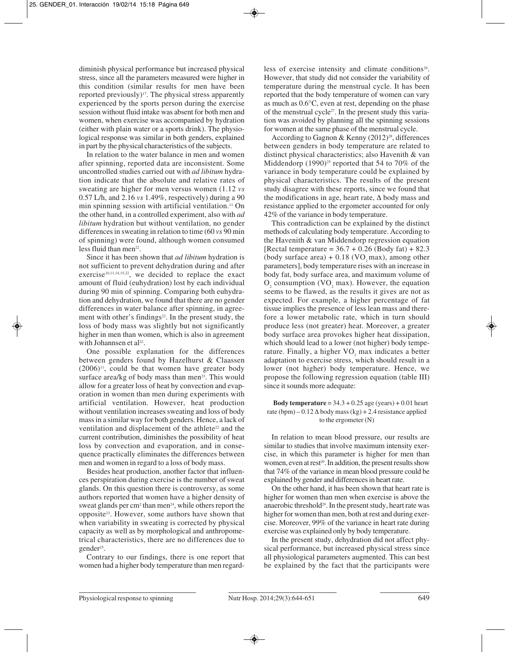diminish physical performance but increased physical stress, since all the parameters measured were higher in this condition (similar results for men have been reported previously)<sup>17</sup>. The physical stress apparently experienced by the sports person during the exercise session without fluid intake was absent for both men and women, when exercise was accompanied by hydration (either with plain water or a sports drink). The physiological response was similar in both genders, explained in part by the physical characteristics of the subjects.

In relation to the water balance in men and women after spinning, reported data are inconsistent. Some uncontrolled studies carried out with *ad libitum* hydration indicate that the absolute and relative rates of sweating are higher for men versus women (1.12 *vs* 0.57 L/h, and 2.16 *vs* 1.49%, respectively) during a 90 min spinning session with artificial ventilation.<sup>11</sup> On the other hand, in a controlled experiment, also with *ad libitum* hydration but without ventilation, no gender differences in sweating in relation to time (60 *vs* 90 min of spinning) were found, although women consumed less fluid than men<sup>22</sup>.

Since it has been shown that *ad libitum* hydration is not sufficient to prevent dehydration during and after exercise<sup>10,11,14,15,22</sup>, we decided to replace the exact amount of fluid (euhydration) lost by each individual during 90 min of spinning. Comparing both euhydration and dehydration, we found that there are no gender differences in water balance after spinning, in agreement with other's findings $22$ . In the present study, the loss of body mass was slightly but not significantly higher in men than women, which is also in agreement with Johannsen et al<sup>22</sup>.

One possible explanation for the differences between genders found by Hazelhurst & Claassen  $(2006)^{11}$ , could be that women have greater body surface area/kg of body mass than men<sup>23</sup>. This would allow for a greater loss of heat by convection and evaporation in women than men during experiments with artificial ventilation. However, heat production without ventilation increases sweating and loss of body mass in a similar way for both genders. Hence, a lack of ventilation and displacement of the athlete<sup>22</sup> and the current contribution, diminishes the possibility of heat loss by convection and evaporation, and in consequence practically eliminates the differences between men and women in regard to a loss of body mass.

Besides heat production, another factor that influences perspiration during exercise is the number of sweat glands. On this question there is controversy, as some authors reported that women have a higher density of sweat glands per cm<sup>2</sup> than men<sup>24</sup>, while others report the opposite23. However, some authors have shown that when variability in sweating is corrected by physical capacity as well as by morphological and anthropome trical characteristics, there are no differences due to gender<sup>25</sup>.

Contrary to our findings, there is one report that women had a higher body temperature than men regardless of exercise intensity and climate conditions<sup>26</sup>. However, that study did not consider the variability of temperature during the menstrual cycle. It has been reported that the body temperature of women can vary as much as 0.6°C, even at rest, depending on the phase of the menstrual cycle<sup>27</sup>. In the present study this variation was avoided by planning all the spinning sessions for women at the same phase of the menstrual cycle.

According to Gagnon & Kenny  $(2012)^{28}$ , differences between genders in body temperature are related to distinct physical characteristics; also Havenith & van Middendorp  $(1990)^{25}$  reported that 54 to 70% of the variance in body temperature could be explained by physical characteristics. The results of the present study disagree with these reports, since we found that the modifications in age, heart rate,  $\Delta$  body mass and resistance applied to the ergometer accounted for only 42% of the variance in body temperature.

This contradiction can be explained by the distinct methods of calculating body temperature. According to the Havenith & van Middendorp regression equation [Rectal temperature =  $36.7 + 0.26$  (Body fat) + 82.3 (body surface area)  $+ 0.18$  (VO<sub>2</sub> max), among other parameters], body temperature rises with an increase in body fat, body surface area, and maximum volume of  $O<sub>2</sub>$  consumption (VO<sub>2</sub> max). However, the equation seems to be flawed, as the results it gives are not as expected. For example, a higher percentage of fat tissue implies the presence of less lean mass and therefore a lower metabolic rate, which in turn should produce less (not greater) heat. Moreover, a greater body surface area provokes higher heat dissipation, which should lead to a lower (not higher) body temperature. Finally, a higher VO<sub>2</sub> max indicates a better adaptation to exercise stress, which should result in a lower (not higher) body temperature. Hence, we propose the following regression equation (table III) since it sounds more adequate:

**Body temperature** =  $34.3 + 0.25$  age (years) + 0.01 heart rate (bpm) –  $0.12 \Delta$  body mass (kg) + 2.4 resistance applied to the ergometer (N)

In relation to mean blood pressure, our results are similar to studies that involve maximum intensity exercise, in which this parameter is higher for men than women, even at rest<sup>29</sup>. In addition, the present results show that 74% of the variance in mean blood pressure could be explained by gender and differences in heart rate.

On the other hand, it has been shown that heart rate is higher for women than men when exercise is above the anaerobic threshold<sup>29</sup>. In the present study, heart rate was higher for women than men, both at rest and during exercise. Moreover, 99% of the variance in heart rate during exercise was explained only by body temperature.

In the present study, dehydration did not affect phy sical performance, but increased physical stress since all physiological parameters augmented. This can best be explained by the fact that the participants were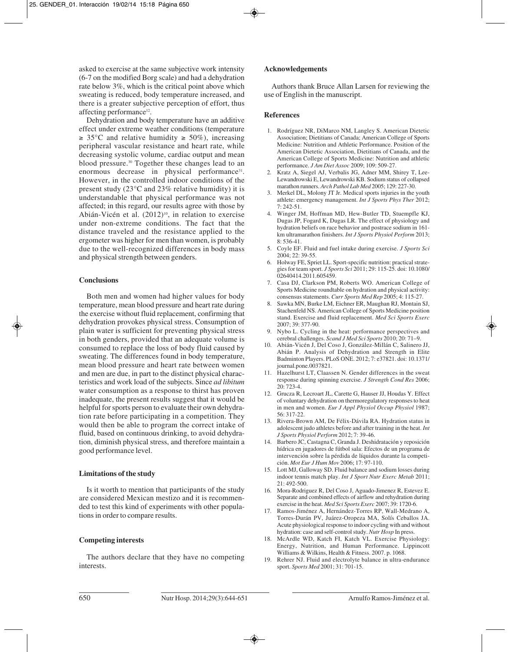asked to exercise at the same subjective work intensity (6-7 on the modified Borg scale) and had a dehydration rate below 3%, which is the critical point above which sweating is reduced, body temperature increased, and there is a greater subjective perception of effort, thus affecting performance<sup>12</sup>.

Dehydration and body temperature have an additive effect under extreme weather conditions (temperature  $\geq 35^{\circ}$ C and relative humidity  $\geq 50\%$ ), increasing peripheral vascular resistance and heart rate, while decreasing systolic volume, cardiac output and mean blood pressure.30 Together these changes lead to an enormous decrease in physical performance<sup>31</sup>. However, in the controlled indoor conditions of the present study (23°C and 23% relative humidity) it is understandable that physical performance was not affected; in this regard, our results agree with those by Abián-Vicén et al. (2012)<sup>10</sup>, in relation to exercise under non-extreme conditions. The fact that the distance traveled and the resistance applied to the ergometer was higher for men than women, is probably due to the well-recognized differences in body mass and physical strength between genders.

## **Conclusions**

Both men and women had higher values for body temperature, mean blood pressure and heart rate during the exercise without fluid replacement, confirming that dehydration provokes physical stress. Consumption of plain water is sufficient for preventing physical stress in both genders, provided that an adequate volume is consumed to replace the loss of body fluid caused by sweating. The differences found in body temperature, mean blood pressure and heart rate between women and men are due, in part to the distinct physical characteristics and work load of the subjects. Since *ad libitum* water consumption as a response to thirst has proven inadequate, the present results suggest that it would be helpful for sports person to evaluate their own dehydration rate before participating in a competition. They would then be able to program the correct intake of fluid, based on continuous drinking, to avoid dehydration, diminish physical stress, and therefore maintain a good performance level.

## **Limitations of the study**

Is it worth to mention that participants of the study are considered Mexican mestizo and it is recommen ded to test this kind of experiments with other populations in order to compare results.

## **Competing interests**

The authors declare that they have no competing interests.

## **Acknowledgements**

Authors thank Bruce Allan Larsen for reviewing the use of English in the manuscript.

#### **References**

- 1. Rodríguez NR, DiMarco NM, Langley S. American Dietetic Association; Dietitians of Canada; American College of Sports Medicine: Nutrition and Athletic Performance. Position of the American Dietetic Association, Dietitians of Canada, and the American College of Sports Medicine: Nutrition and athletic performance. *J Am Diet Assoc* 2009; 109: 509-27.
- 2. Kratz A, Siegel AJ, Verbalis JG, Adner MM, Shirey T, Lee-Lewandrowski E, Lewandrowski KB. Sodium status of collapsed marathon runners. *Arch Pathol Lab Med* 2005; 129: 227-30.
- 3. Merkel DL, Molony JT Jr. Medical sports injuries in the youth athlete: emergency management. *Int J Sports Phys Ther* 2012; 7: 242-51.
- 4. Winger JM, Hoffman MD, Hew-Butler TD, Stuempfle KJ, Dugas JP, Fogard K, Dugas LR. The effect of physiology and hydration beliefs on race behavior and postrace sodium in 161 km ultramarathon finishers. *Int J Sports Physiol Perform* 2013; 8: 536-41.
- 5. Coyle EF. Fluid and fuel intake during exercise. *J Sports Sci* 2004; 22: 39-55.
- 6. Holway FE, Spriet LL. Sport-specific nutrition: practical strategies for team sport. *J Sports Sci* 2011; 29: 115-25. doi: 10.1080/ 02640414.2011.605459.
- 7. Casa DJ, Clarkson PM, Roberts WO. American College of Sports Medicine roundtable on hydration and physical activity: consensus statements. *Curr Sports Med Rep* 2005; 4: 115-27.
- 8. Sawka MN, Burke LM, Eichner ER, Maughan RJ, Montain SJ, Stachenfeld NS. American College of Sports Medicine position stand. Exercise and fluid replacement. *Med Sci Sports Exerc* 2007; 39: 377-90.
- 9. Nybo L. Cycling in the heat: performance perspectives and cerebral challenges. *Scand J Med Sci Sports* 2010; 20: 71–9.
- 10. Abián-Vicén J, Del Coso J, González-Millán C, Salinero JJ, Abián P. Analysis of Dehydration and Strength in Elite Badminton Players. PLoS ONE. 2012; 7: e37821. doi: 10.1371/ journal.pone.0037821.
- 11. Hazelhurst LT, Claassen N. Gender differences in the sweat response during spinning exercise. *J Strength Cond Res* 2006; 20: 723-4.
- 12. Grucza R, Lecroart JL, Carette G, Hauser JJ, Houdas Y. Effect of voluntary dehydration on thermoregulatory responses to heat in men and women. *Eur J Appl Physiol Occup Physiol* 1987; 56: 317-22.
- 13. Rivera-Brown AM, De Félix-Dávila RA. Hydration status in adolescent judo athletes before and after training in the heat. *Int J Sports Physiol Perform* 2012; 7: 39-46.
- 14. Barbero JC, Castagna C, Granda J. Deshidratación y reposición hídrica en jugadores de fútbol sala: Efectos de un programa de intervención sobre la pérdida de líquidos durante la competición. *Mot Eur J Hum Mov* 2006; 17: 97-110.
- 15. Lott MJ, Galloway SD. Fluid balance and sodium losses during indoor tennis match play. *Int J Sport Nutr Exerc Metab* 2011; 21: 492-500.
- 16. Mora-Rodriguez R, Del Coso J, Aguado-Jimenez R, Estevez E. Separate and combined effects of airflow and rehydration during exercise in the heat. *Med Sci Sports Exerc* 2007; 39: 1720-6.
- 17. Ramos-Jiménez A, Hernández-Torres RP, Wall-Medrano A, Torres-Durán PV, Juárez-Oropeza MA, Solís Ceballos JA. Acute physiological response to indoor cycling with and without hydration: case and self-control study. *Nutr Hosp* In press.
- 18. McArdle WD, Katch FI, Katch VL. Exercise Physiology: Energy, Nutrition, and Human Performance. Lippincott Williams & Wilkins, Health & Fitness. 2007. p. 1068.
- 19. Rehrer NJ. Fluid and electrolyte balance in ultra-endurance sport. *Sports Med* 2001; 31: 701-15.